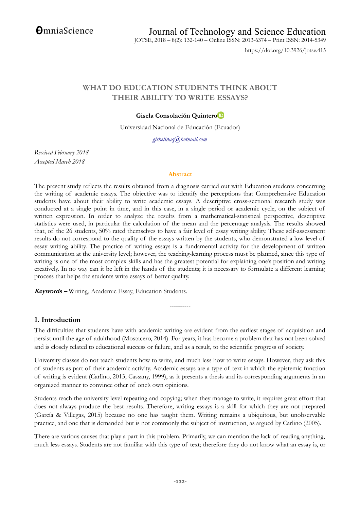

https://doi.org/10.3926/jotse.415

# **WHAT DO EDUCATION STUDENTS THINK ABOUT THEIR ABILITY TO WRITE ESSAYS?**

#### **Gisela Consolación Quinter[o](https://orcid.org/0000-0003-0751-2861)**

Universidad Nacional de Educación (Ecuador)

*gishelinaq@hotmail.com*

*Received February 2018 Accepted March 2018*

#### **Abstract**

The present study reflects the results obtained from a diagnosis carried out with Education students concerning the writing of academic essays. The objective was to identify the perceptions that Comprehensive Education students have about their ability to write academic essays. A descriptive cross-sectional research study was conducted at a single point in time, and in this case, in a single period or academic cycle, on the subject of written expression. In order to analyze the results from a mathematical-statistical perspective, descriptive statistics were used, in particular the calculation of the mean and the percentage analysis. The results showed that, of the 26 students, 50% rated themselves to have a fair level of essay writing ability. These self-assessment results do not correspond to the quality of the essays written by the students, who demonstrated a low level of essay writing ability. The practice of writing essays is a fundamental activity for the development of written communication at the university level; however, the teaching-learning process must be planned, since this type of writing is one of the most complex skills and has the greatest potential for explaining one's position and writing creatively. In no way can it be left in the hands of the students; it is necessary to formulate a different learning process that helps the students write essays of better quality.

**Keywords –** Writing, Academic Essay, Education Students.

#### **1. Introduction**

The difficulties that students have with academic writing are evident from the earliest stages of acquisition and persist until the age of adulthood (Mostacero, 2014). For years, it has become a problem that has not been solved and is closely related to educational success or failure, and as a result, to the scientific progress of society.

----------

University classes do not teach students how to write, and much less how to write essays. However, they ask this of students as part of their academic activity. Academic essays are a type of text in which the epistemic function of writing is evident (Carlino, 2013; Cassany, 1999), as it presents a thesis and its corresponding arguments in an organized manner to convince other of one's own opinions.

Students reach the university level repeating and copying; when they manage to write, it requires great effort that does not always produce the best results. Therefore, writing essays is a skill for which they are not prepared (García & Villegas, 2015) because no one has taught them. Writing remains a ubiquitous, but unobservable practice, and one that is demanded but is not commonly the subject of instruction, as argued by Carlino (2005).

There are various causes that play a part in this problem. Primarily, we can mention the lack of reading anything, much less essays. Students are not familiar with this type of text; therefore they do not know what an essay is, or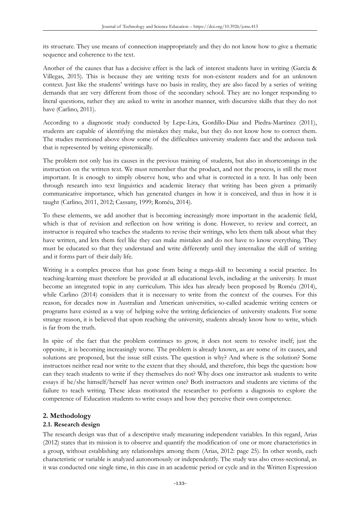its structure. They use means of connection inappropriately and they do not know how to give a thematic sequence and coherence to the text.

Another of the causes that has a decisive effect is the lack of interest students have in writing (García & Villegas, 2015). This is because they are writing texts for non-existent readers and for an unknown context. Just like the students' writings have no basis in reality, they are also faced by a series of writing demands that are very different from those of the secondary school. They are no longer responding to literal questions, rather they are asked to write in another manner, with discursive skills that they do not have (Carlino, 2011).

According to a diagnostic study conducted by Lepe-Lira, Gordillo-Díaz and Piedra-Martínez (2011), students are capable of identifying the mistakes they make, but they do not know how to correct them. The studies mentioned above show some of the difficulties university students face and the arduous task that is represented by writing epistemically.

The problem not only has its causes in the previous training of students, but also in shortcomings in the instruction on the written text. We must remember that the product, and not the process, is still the most important. It is enough to simply observe how, who and what is corrected in a text. It has only been through research into text linguistics and academic literacy that writing has been given a primarily communicative importance, which has generated changes in how it is conceived, and thus in how it is taught (Carlino, 2011, 2012; Cassany, 1999; Roméu, 2014).

To these elements, we add another that is becoming increasingly more important in the academic field, which is that of revision and reflection on how writing is done. However, to review and correct, an instructor is required who teaches the students to revise their writings, who lets them talk about what they have written, and lets them feel like they can make mistakes and do not have to know everything. They must be educated so that they understand and write differently until they internalize the skill of writing and it forms part of their daily life.

Writing is a complex process that has gone from being a mega-skill to becoming a social practice. Its teaching-learning must therefore be provided at all educational levels, including at the university. It must become an integrated topic in any curriculum. This idea has already been proposed by Roméu (2014), while Carlino (2014) considers that it is necessary to write from the context of the courses. For this reason, for decades now in Australian and American universities, so-called academic writing centers or programs have existed as a way of helping solve the writing deficiencies of university students. For some strange reason, it is believed that upon reaching the university, students already know how to write, which is far from the truth.

In spite of the fact that the problem continues to grow, it does not seem to resolve itself; just the opposite, it is becoming increasingly worse. The problem is already known, as are some of its causes, and solutions are proposed, but the issue still exists. The question is why? And where is the solution? Some instructors neither read nor write to the extent that they should, and therefore, this begs the question: how can they teach students to write if they themselves do not? Why does one instructor ask students to write essays if he/she himself/herself has never written one? Both instructors and students are victims of the failure to teach writing. These ideas motivated the researcher to perform a diagnosis to explore the competence of Education students to write essays and how they perceive their own competence.

# **2. Methodology**

# **2.1. Research design**

The research design was that of a descriptive study measuring independent variables. In this regard, Arias (2012) states that its mission is to observe and quantify the modification of one or more characteristics in a group, without establishing any relationships among them (Arias, 2012: page 25). In other words, each characteristic or variable is analyzed autonomously or independently. The study was also cross-sectional, as it was conducted one single time, in this case in an academic period or cycle and in the Written Expression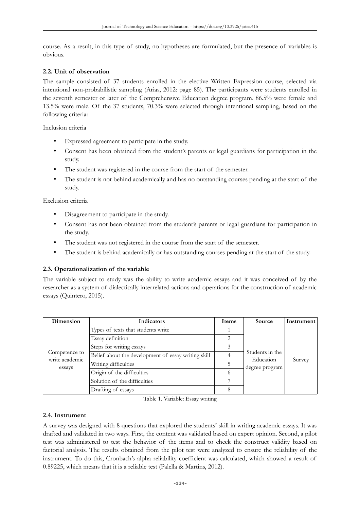course. As a result, in this type of study, no hypotheses are formulated, but the presence of variables is obvious.

### **2.2. Unit of observation**

The sample consisted of 37 students enrolled in the elective Written Expression course, selected via intentional non-probabilistic sampling (Arias, 2012: page 85). The participants were students enrolled in the seventh semester or later of the Comprehensive Education degree program. 86.5% were female and 13.5% were male. Of the 37 students, 70.3% were selected through intentional sampling, based on the following criteria:

Inclusion criteria

- Expressed agreement to participate in the study.
- Consent has been obtained from the student's parents or legal guardians for participation in the study.
- The student was registered in the course from the start of the semester.
- The student is not behind academically and has no outstanding courses pending at the start of the study.

Exclusion criteria

- Disagreement to participate in the study.
- Consent has not been obtained from the student's parents or legal guardians for participation in the study.
- The student was not registered in the course from the start of the semester.
- The student is behind academically or has outstanding courses pending at the start of the study.

# **2.3. Operationalization of the variable**

The variable subject to study was the ability to write academic essays and it was conceived of by the researcher as a system of dialectically interrelated actions and operations for the construction of academic essays (Quintero, 2015).

| Dimension                                 | Indicators                                          | Items | Source                                         | Instrument |
|-------------------------------------------|-----------------------------------------------------|-------|------------------------------------------------|------------|
| Competence to<br>write academic<br>essays | Types of texts that students write                  |       | Students in the<br>Education<br>degree program | Survey     |
|                                           | Essay definition                                    | 2     |                                                |            |
|                                           | Steps for writing essays                            | 3     |                                                |            |
|                                           | Belief about the development of essay writing skill | 4     |                                                |            |
|                                           | Writing difficulties                                | 5     |                                                |            |
|                                           | Origin of the difficulties                          | 6     |                                                |            |
|                                           | Solution of the difficulties                        |       |                                                |            |
|                                           | Drafting of essays                                  | 8     |                                                |            |

Table 1. Variable: Essay writing

# **2.4. Instrument**

A survey was designed with 8 questions that explored the students' skill in writing academic essays. It was drafted and validated in two ways. First, the content was validated based on expert opinion. Second, a pilot test was administered to test the behavior of the items and to check the construct validity based on factorial analysis. The results obtained from the pilot test were analyzed to ensure the reliability of the instrument. To do this, Cronbach's alpha reliability coefficient was calculated, which showed a result of 0.89225, which means that it is a reliable test (Palella & Martins, 2012).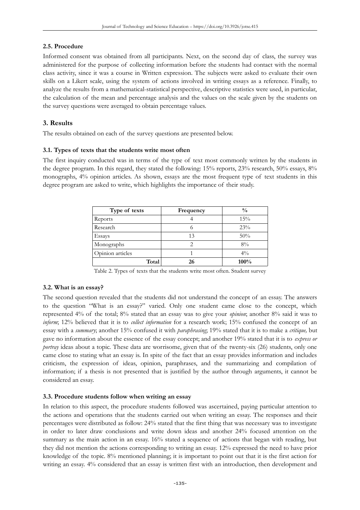#### **2.5. Procedure**

Informed consent was obtained from all participants. Next, on the second day of class, the survey was administered for the purpose of collecting information before the students had contact with the normal class activity, since it was a course in Written expression. The subjects were asked to evaluate their own skills on a Likert scale, using the system of actions involved in writing essays as a reference. Finally, to analyze the results from a mathematical-statistical perspective, descriptive statistics were used, in particular, the calculation of the mean and percentage analysis and the values on the scale given by the students on the survey questions were averaged to obtain percentage values.

# **3. Results**

The results obtained on each of the survey questions are presented below.

#### **3.1. Types of texts that the students write most often**

The first inquiry conducted was in terms of the type of text most commonly written by the students in the degree program. In this regard, they stated the following: 15% reports, 23% research, 50% essays, 8% monographs, 4% opinion articles. As shown, essays are the most frequent type of text students in this degree program are asked to write, which highlights the importance of their study.

| Type of texts    | Frequency | $\frac{0}{0}$  |  |
|------------------|-----------|----------------|--|
| Reports          |           | 15%            |  |
| Research         | 6         | 23%            |  |
| Essays           | 13        | 50%            |  |
| Monographs       | 2         | $8\%$          |  |
| Opinion articles |           | $4\frac{0}{0}$ |  |
| Total            | 26        | 100%           |  |

Table 2. Types of texts that the students write most often. Student survey

#### **3.2. What is an essay?**

The second question revealed that the students did not understand the concept of an essay. The answers to the question "What is an essay?" varied. Only one student came close to the concept, which represented 4% of the total; 8% stated that an essay was to give your *opinion*; another 8% said it was to *inform*; 12% believed that it is to *collect information* for a research work; 15% confused the concept of an essay with a *summary*; another 15% confused it with *paraphrasing*; 19% stated that it is to make a *critique,* but gave no information about the essence of the essay concept; and another 19% stated that it is to *express or portray* ideas about a topic. These data are worrisome, given that of the twenty-six (26) students, only one came close to stating what an essay is. In spite of the fact that an essay provides information and includes criticism, the expression of ideas, opinion, paraphrases, and the summarizing and compilation of information; if a thesis is not presented that is justified by the author through arguments, it cannot be considered an essay.

# **3.3. Procedure students follow when writing an essay**

In relation to this aspect, the procedure students followed was ascertained, paying particular attention to the actions and operations that the students carried out when writing an essay. The responses and their percentages were distributed as follow: 24% stated that the first thing that was necessary was to investigate in order to later draw conclusions and write down ideas and another 24% focused attention on the summary as the main action in an essay. 16% stated a sequence of actions that began with reading, but they did not mention the actions corresponding to writing an essay. 12% expressed the need to have prior knowledge of the topic. 8% mentioned planning; it is important to point out that it is the first action for writing an essay. 4% considered that an essay is written first with an introduction, then development and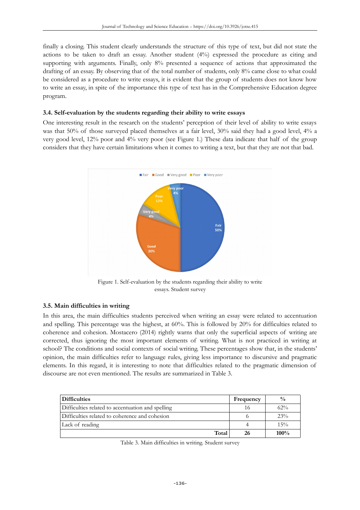finally a closing. This student clearly understands the structure of this type of text, but did not state the actions to be taken to draft an essay. Another student (4%) expressed the procedure as citing and supporting with arguments. Finally, only 8% presented a sequence of actions that approximated the drafting of an essay. By observing that of the total number of students, only 8% came close to what could be considered as a procedure to write essays, it is evident that the group of students does not know how to write an essay, in spite of the importance this type of text has in the Comprehensive Education degree program.

#### **3.4. Self-evaluation by the students regarding their ability to write essays**

One interesting result in the research on the students' perception of their level of ability to write essays was that 50% of those surveyed placed themselves at a fair level, 30% said they had a good level, 4% a very good level, 12% poor and 4% very poor (see Figure 1.) These data indicate that half of the group considers that they have certain limitations when it comes to writing a text, but that they are not that bad.



essays. Student survey

#### **3.5. Main difficulties in writing**

In this area, the main difficulties students perceived when writing an essay were related to accentuation and spelling. This percentage was the highest, at 60%. This is followed by 20% for difficulties related to coherence and cohesion. Mostacero (2014) rightly warns that only the superficial aspects of writing are corrected, thus ignoring the most important elements of writing. What is not practiced in writing at school? The conditions and social contexts of social writing. These percentages show that, in the students' opinion, the main difficulties refer to language rules, giving less importance to discursive and pragmatic elements. In this regard, it is interesting to note that difficulties related to the pragmatic dimension of discourse are not even mentioned. The results are summarized in Table 3.

| <b>Difficulties</b>                               | Frequency | $\frac{0}{0}$ |
|---------------------------------------------------|-----------|---------------|
| Difficulties related to accentuation and spelling | 16        | $62\%$        |
| Difficulties related to coherence and cohesion    |           | 23%           |
| Lack of reading                                   | 4         | 15%           |
| Total                                             | 26        | $100\%$       |

Table 3. Main difficulties in writing. Student survey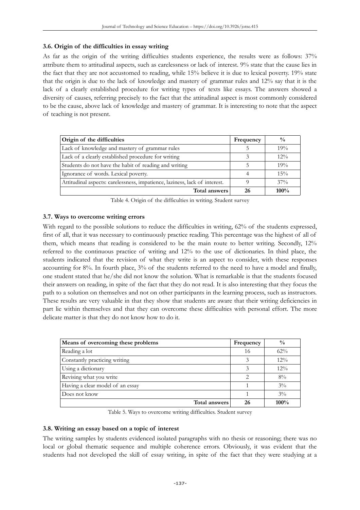#### **3.6. Origin of the difficulties in essay writing**

As far as the origin of the writing difficulties students experience, the results were as follows: 37% attribute them to attitudinal aspects, such as carelessness or lack of interest. 9% state that the cause lies in the fact that they are not accustomed to reading, while 15% believe it is due to lexical poverty. 19% state that the origin is due to the lack of knowledge and mastery of grammar rules and 12% say that it is the lack of a clearly established procedure for writing types of texts like essays. The answers showed a diversity of causes, referring precisely to the fact that the attitudinal aspect is most commonly considered to be the cause, above lack of knowledge and mastery of grammar. It is interesting to note that the aspect of teaching is not present.

| Origin of the difficulties                                                 | Frequency | $\frac{0}{0}$ |
|----------------------------------------------------------------------------|-----------|---------------|
| Lack of knowledge and mastery of grammar rules                             |           | 19%           |
| Lack of a clearly established procedure for writing                        |           | $12\%$        |
| Students do not have the habit of reading and writing                      |           | 19%           |
| Ignorance of words. Lexical poverty.                                       | 4         | 15%           |
| Attitudinal aspects: carelessness, impatience, laziness, lack of interest. |           | $37\%$        |
| Total answers                                                              | 26        | 100%          |

Table 4. Origin of the difficulties in writing. Student survey

#### **3.7. Ways to overcome writing errors**

With regard to the possible solutions to reduce the difficulties in writing, 62% of the students expressed, first of all, that it was necessary to continuously practice reading. This percentage was the highest of all of them, which means that reading is considered to be the main route to better writing. Secondly, 12% referred to the continuous practice of writing and 12% to the use of dictionaries. In third place, the students indicated that the revision of what they write is an aspect to consider, with these responses accounting for 8%. In fourth place, 3% of the students referred to the need to have a model and finally, one student stated that he/she did not know the solution. What is remarkable is that the students focused their answers on reading, in spite of the fact that they do not read. It is also interesting that they focus the path to a solution on themselves and not on other participants in the learning process, such as instructors. These results are very valuable in that they show that students are aware that their writing deficiencies in part lie within themselves and that they can overcome these difficulties with personal effort. The more delicate matter is that they do not know how to do it.

| Means of overcoming these problems | Frequency | $\frac{0}{0}$ |
|------------------------------------|-----------|---------------|
| Reading a lot                      | 16        | $62\%$        |
| Constantly practicing writing      | 3         | 12%           |
| Using a dictionary                 | 3         | 12%           |
| Revising what you write            | 2         | $8\%$         |
| Having a clear model of an essay   |           | $3\%$         |
| Does not know                      |           | $3\%$         |
| <b>Total answers</b>               | 26        | $100\%$       |

Table 5. Ways to overcome writing difficulties. Student survey

# **3.8. Writing an essay based on a topic of interest**

The writing samples by students evidenced isolated paragraphs with no thesis or reasoning; there was no local or global thematic sequence and multiple coherence errors. Obviously, it was evident that the students had not developed the skill of essay writing, in spite of the fact that they were studying at a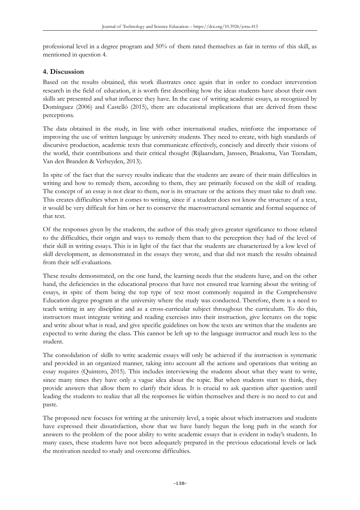professional level in a degree program and 50% of them rated themselves as fair in terms of this skill, as mentioned in question 4.

### **4. Discussion**

Based on the results obtained, this work illustrates once again that in order to conduct intervention research in the field of education, it is worth first describing how the ideas students have about their own skills are presented and what influence they have. In the case of writing academic essays, as recognized by Domínguez (2006) and Castelló (2015), there are educational implications that are derived from these perceptions.

The data obtained in the study, in line with other international studies, reinforce the importance of improving the use of written language by university students. They need to create, with high standards of discursive production, academic texts that communicate effectively, concisely and directly their visions of the world, their contributions and their critical thought (Rijlaarsdam, Janssen, Braaksma, Van Teendam, Van den Branden & Verheyden, 2013).

In spite of the fact that the survey results indicate that the students are aware of their main difficulties in writing and how to remedy them, according to them, they are primarily focused on the skill of reading. The concept of an essay is not clear to them, nor is its structure or the actions they must take to draft one. This creates difficulties when it comes to writing, since if a student does not know the structure of a text, it would be very difficult for him or her to conserve the macrostructural semantic and formal sequence of that text.

Of the responses given by the students, the author of this study gives greater significance to those related to the difficulties, their origin and ways to remedy them than to the perception they had of the level of their skill in writing essays. This is in light of the fact that the students are characterized by a low level of skill development, as demonstrated in the essays they wrote, and that did not match the results obtained from their self-evaluations.

These results demonstrated, on the one hand, the learning needs that the students have, and on the other hand, the deficiencies in the educational process that have not ensured true learning about the writing of essays, in spite of them being the top type of text most commonly required in the Comprehensive Education degree program at the university where the study was conducted. Therefore, there is a need to teach writing in any discipline and as a cross-curricular subject throughout the curriculum. To do this, instructors must integrate writing and reading exercises into their instruction, give lectures on the topic and write about what is read, and give specific guidelines on how the texts are written that the students are expected to write during the class. This cannot be left up to the language instructor and much less to the student.

The consolidation of skills to write academic essays will only be achieved if the instruction is systematic and provided in an organized manner, taking into account all the actions and operations that writing an essay requires (Quintero, 2015). This includes interviewing the students about what they want to write, since many times they have only a vague idea about the topic. But when students start to think, they provide answers that allow them to clarify their ideas. It is crucial to ask question after question until leading the students to realize that all the responses lie within themselves and there is no need to cut and paste.

The proposed new focuses for writing at the university level, a topic about which instructors and students have expressed their dissatisfaction, show that we have barely begun the long path in the search for answers to the problem of the poor ability to write academic essays that is evident in today's students. In many cases, these students have not been adequately prepared in the previous educational levels or lack the motivation needed to study and overcome difficulties.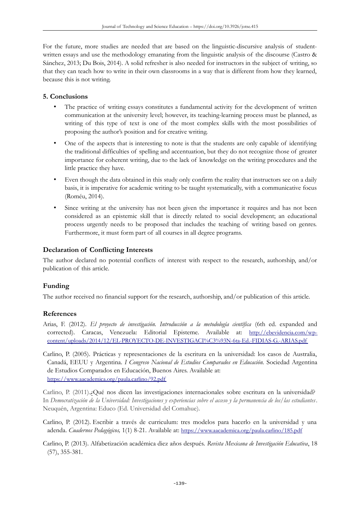For the future, more studies are needed that are based on the linguistic-discursive analysis of studentwritten essays and use the methodology emanating from the linguistic analysis of the discourse (Castro & Sánchez, 2013; Du Bois, 2014). A solid refresher is also needed for instructors in the subject of writing, so that they can teach how to write in their own classrooms in a way that is different from how they learned, because this is not writing.

#### **5. Conclusions**

- The practice of writing essays constitutes a fundamental activity for the development of written communication at the university level; however, its teaching-learning process must be planned, as writing of this type of text is one of the most complex skills with the most possibilities of proposing the author's position and for creative writing.
- One of the aspects that is interesting to note is that the students are only capable of identifying the traditional difficulties of spelling and accentuation, but they do not recognize those of greater importance for coherent writing, due to the lack of knowledge on the writing procedures and the little practice they have.
- Even though the data obtained in this study only confirm the reality that instructors see on a daily basis, it is imperative for academic writing to be taught systematically, with a communicative focus (Roméu, 2014).
- Since writing at the university has not been given the importance it requires and has not been considered as an epistemic skill that is directly related to social development; an educational process urgently needs to be proposed that includes the teaching of writing based on genres. Furthermore, it must form part of all courses in all degree programs.

# **Declaration of Conflicting Interests**

The author declared no potential conflicts of interest with respect to the research, authorship, and/or publication of this article.

# **Funding**

The author received no financial support for the research, authorship, and/or publication of this article.

# **References**

- Arias, F. (2012). *El proyecto de investigación. Introducción a la metodología científica* (6th ed. expanded and corrected). Caracas, Venezuela: Editorial Episteme. Available at: [http://ebevidencia.com/wp](http://ebevidencia.com/wp-content/uploads/2014/12/EL-PROYECTO-DE-INVESTIGACI%C3%93N-6ta-Ed.-FIDIAS-G.-ARIAS.pdf)[content/uploads/2014/12/EL-PROYECTO-DE-INVESTIGACI%C3%93N-6ta-Ed.-FIDIAS-G.-ARIAS.pdf](http://ebevidencia.com/wp-content/uploads/2014/12/EL-PROYECTO-DE-INVESTIGACI%C3%93N-6ta-Ed.-FIDIAS-G.-ARIAS.pdf)
- Carlino, P. (2005). Prácticas y representaciones de la escritura en la universidad: los casos de Australia, Canadá, EEUU y Argentina. *I Congreso Nacional de Estudios Comparados en Educación.* Sociedad Argentina de Estudios Comparados en Educación, Buenos Aires. Available at: <https://www.aacademica.org/paula.carlino/92.pdf>

Carlino, P. (2011).¿Qué nos dicen las investigaciones internacionales sobre escritura en la universidad? In *Democratización de la Universidad: Investigaciones y experiencias sobre el acceso y la permanencia de los/las estudiantes*. Neuquén, Argentina: Educo (Ed. Universidad del Comahue).

- Carlino, P. (2012). Escribir a través de curriculum: tres modelos para hacerlo en la universidad y una adenda. *Cuadernos Pedagógicos,* 1(1) 8-21. Available at: <https://www.aacademica.org/paula.carlino/185.pdf>
- Carlino, P. (2013). Alfabetización académica diez años después. *Revista Mexicana de Investigación Educativa*, 18 (57), 355-381.